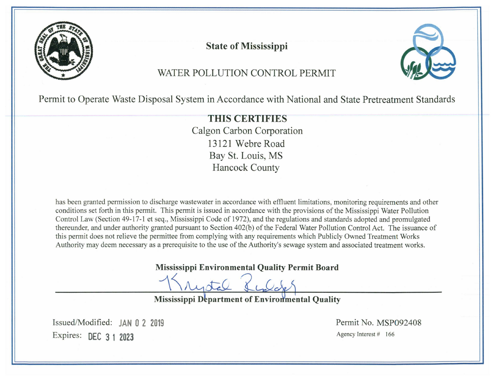

**State of Mississippi** 



# WATER POLLUTION CONTROL PERMIT

Permit to Operate Waste Disposal System in Accordance with National and State Pretreatment Standards

**THIS CERTIFIES** Calgon Carbon Corporation 13121 Webre Road Bay St. Louis, MS **Hancock County** 

has been granted permission to discharge wastewater in accordance with effluent limitations, monitoring requirements and other conditions set forth in this permit. This permit is issued in accordance with the provisions of the Mississippi Water Pollution Control Law (Section 49-17-1 et seq., Mississippi Code of 1972), and the regulations and standards adopted and promulgated thereunder, and under authority granted pursuant to Section 402(b) of the Federal Water Pollution Control Act. The issuance of this permit does not relieve the permittee from complying with any requirements which Publicly Owned Treatment Works Authority may deem necessary as a prerequisite to the use of the Authority's sewage system and associated treatment works.

Mississippi Environmental Quality Permit Board

**Mississippi Department of Environmental Quality** 

Issued/Modified: JAN 0 2 2019 Expires: DEC 3 1 2023

Permit No. MSP092408 Agency Interest # 166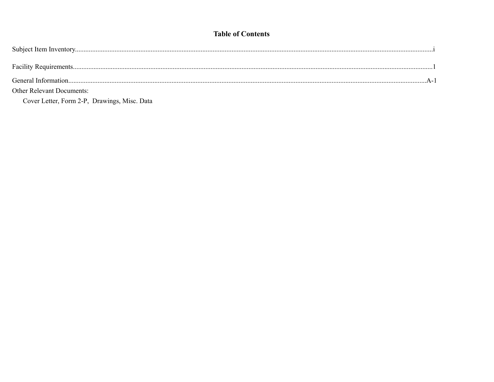## **Table of Contents**

| General Information              |  |
|----------------------------------|--|
| <b>Other Relevant Documents:</b> |  |

Cover Letter, Form 2-P, Drawings, Misc. Data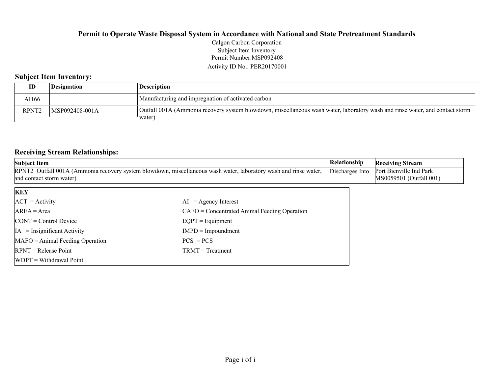#### **Permit to Operate Waste Disposal System in Accordance with National and State Pretreatment Standards** Permit Number:MSP092408 Activity ID No.: PER20170001 Calgon Carbon Corporation Subject Item Inventory

## **Subject Item Inventory:**

| ID                | <i><b>Designation</b></i> | <b>Description</b>                                                                                                                     |
|-------------------|---------------------------|----------------------------------------------------------------------------------------------------------------------------------------|
| AI166             |                           | Manufacturing and impregnation of activated carbon                                                                                     |
| RPNT <sub>2</sub> | MSP092408-001A            | Outfall 001A (Ammonia recovery system blowdown, miscellaneous wash water, laboratory wash and rinse water, and contact storm<br>water) |

## **Receiving Stream Relationships:**

| <b>Subject Item</b>                                                                                                                          |                                                | Relationship                                       | <b>Receiving Stream</b> |
|----------------------------------------------------------------------------------------------------------------------------------------------|------------------------------------------------|----------------------------------------------------|-------------------------|
| RPNT2 Outfall 001A (Ammonia recovery system blowdown, miscellaneous wash water, laboratory wash and rinse water,<br>and contact storm water) | Discharges Into                                | Port Bienville Ind Park<br>MS0059501 (Outfall 001) |                         |
| <b>KEY</b>                                                                                                                                   |                                                |                                                    |                         |
| $ACT = Activity$                                                                                                                             | $=$ Agency Interest<br>AI                      |                                                    |                         |
| $AREA = Area$                                                                                                                                | $CAFO =$ Concentrated Animal Feeding Operation |                                                    |                         |
| $\text{CONT} = \text{Control Device}$                                                                                                        | $EQPT = Equipment$                             |                                                    |                         |
| $IA = Insignificant Activity$                                                                                                                | $IMPD = Impoundment$                           |                                                    |                         |
| $MAFO = Animal Feeding Operation$                                                                                                            | $PCS = PCs$                                    |                                                    |                         |
| $RPNT = Release Point$                                                                                                                       | $TRMT = Treatment$                             |                                                    |                         |
| $WDPT = Without$                                                                                                                             |                                                |                                                    |                         |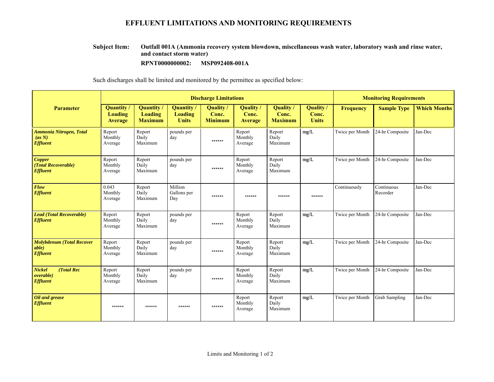## **EFFLUENT LIMITATIONS AND MONITORING REQUIREMENTS**

#### **Outfall 001A (Ammonia recovery system blowdown, miscellaneous wash water, laboratory wash and rinse water, and contact storm water) Subject Item:**

**RPNT0000000002:** MSP092408-001A

Such discharges shall be limited and monitored by the permittee as specified below:

|                                                              | <b>Discharge Limitations</b>                   |                                                |                                     |                                      |                                    |                                           |                                    | <b>Monitoring Requirements</b> |                        |                     |
|--------------------------------------------------------------|------------------------------------------------|------------------------------------------------|-------------------------------------|--------------------------------------|------------------------------------|-------------------------------------------|------------------------------------|--------------------------------|------------------------|---------------------|
| <b>Parameter</b>                                             | <b>Quantity</b> /<br>Loading<br><b>Average</b> | <b>Quantity</b> /<br>Loading<br><b>Maximum</b> | Quantity<br>Loading<br><b>Units</b> | Quality /<br>Conc.<br><b>Minimum</b> | <b>Ouality</b><br>Conc.<br>Average | <b>Quality</b><br>Conc.<br><b>Maximum</b> | Quality /<br>Conc.<br><b>Units</b> | <b>Frequency</b>               | <b>Sample Type</b>     | <b>Which Months</b> |
| <b>Ammonia Nitrogen, Total</b><br>(as N)<br><b>Effluent</b>  | Report<br>Monthly<br>Average                   | Report<br>Daily<br>Maximum                     | pounds per<br>day                   | ******                               | Report<br>Monthly<br>Average       | Report<br>Daily<br>Maximum                | mg/L                               | Twice per Month                | 24-hr Composite        | Jan-Dec             |
| <b>Copper</b><br>(Total Recoverable)<br><b>Effluent</b>      | Report<br>Monthly<br>Average                   | Report<br>Daily<br>Maximum                     | pounds per<br>day                   | ******                               | Report<br>Monthly<br>Average       | Report<br>Daily<br>Maximum                | mg/L                               | Twice per Month                | 24-hr Composite        | Jan-Dec             |
| Flow<br><b>Effluent</b>                                      | 0.043<br>Monthly<br>Average                    | Report<br>Daily<br>Maximum                     | Million<br>Gallons per<br>Day       | ******                               | ******                             | ******                                    | ******                             | Continuously                   | Continuous<br>Recorder | Jan-Dec             |
| <b>Lead (Total Recoverable)</b><br><b>Effluent</b>           | Report<br>Monthly<br>Average                   | Report<br>Daily<br>Maximum                     | pounds per<br>day                   | ******                               | Report<br>Monthly<br>Average       | Report<br>Daily<br>Maximum                | mg/L                               | Twice per Month                | 24-hr Composite        | Jan-Dec             |
| <b>Molybdenum (Total Recover</b><br>able)<br><b>Effluent</b> | Report<br>Monthly<br>Average                   | Report<br>Daily<br>Maximum                     | pounds per<br>day                   | ******                               | Report<br>Monthly<br>Average       | Report<br>Daily<br>Maximum                | mg/L                               | Twice per Month                | 24-hr Composite        | Jan-Dec             |
| <b>Nickel</b><br>(Total Rec<br>overable)<br><b>Effluent</b>  | Report<br>Monthly<br>Average                   | Report<br>Daily<br>Maximum                     | pounds per<br>day                   | ******                               | Report<br>Monthly<br>Average       | Report<br>Daily<br>Maximum                | mg/L                               | Twice per Month                | 24-hr Composite        | Jan-Dec             |
| Oil and grease<br><b>Effluent</b>                            | ******                                         | ******                                         | ******                              | ******                               | Report<br>Monthly<br>Average       | Report<br>Daily<br>Maximum                | mg/L                               | Twice per Month                | <b>Grab Sampling</b>   | Jan-Dec             |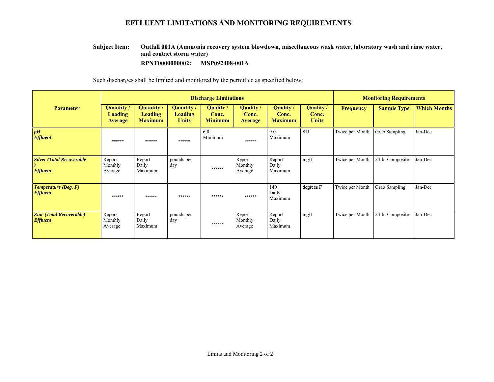## **EFFLUENT LIMITATIONS AND MONITORING REQUIREMENTS**

#### **Outfall 001A (Ammonia recovery system blowdown, miscellaneous wash water, laboratory wash and rinse water, and contact storm water) Subject Item:**

#### **RPNT0000000002: MSP092408-001A**

Such discharges shall be limited and monitored by the permittee as specified below:

|                                                      | <b>Discharge Limitations</b>                   |                                                |                                             |                                      |                                      |                                      |                                    | <b>Monitoring Requirements</b> |                    |                     |
|------------------------------------------------------|------------------------------------------------|------------------------------------------------|---------------------------------------------|--------------------------------------|--------------------------------------|--------------------------------------|------------------------------------|--------------------------------|--------------------|---------------------|
| <b>Parameter</b>                                     | Quantity /<br><b>Loading</b><br><b>Average</b> | Quantity /<br><b>Loading</b><br><b>Maximum</b> | Quantity/<br><b>Loading</b><br><b>Units</b> | Quality /<br>Conc.<br><b>Minimum</b> | Quality /<br>Conc.<br><b>Average</b> | Quality /<br>Conc.<br><b>Maximum</b> | Quality /<br>Conc.<br><b>Units</b> | <b>Frequency</b>               | <b>Sample Type</b> | <b>Which Months</b> |
| pH<br><b>Effluent</b>                                | ******                                         | ******                                         | ******                                      | 6.0<br>Minimum                       | ******                               | 9.0<br>Maximum                       | <b>SU</b>                          | Twice per Month                | Grab Sampling      | Jan-Dec             |
| <b>Silver (Total Recoverable)</b><br><b>Effluent</b> | Report<br>Monthly<br>Average                   | Report<br>Daily<br>Maximum                     | pounds per<br>day                           | ******                               | Report<br>Monthly<br>Average         | Report<br>Daily<br>Maximum           | mg/L                               | Twice per Month                | 24-hr Composite    | Jan-Dec             |
| $Temperature$ (Deg. $F$ )<br><b>Effluent</b>         | ******                                         | ******                                         | ******                                      | ******                               | ******                               | 140<br>Daily<br>Maximum              | degrees F                          | Twice per Month                | Grab Sampling      | Jan-Dec             |
| <b>Zinc (Total Recoverable)</b><br><b>Effluent</b>   | Report<br>Monthly<br>Average                   | Report<br>Daily<br>Maximum                     | pounds per<br>day                           | ******                               | Report<br>Monthly<br>Average         | Report<br>Daily<br>Maximum           | mg/L                               | Twice per Month                | 24-hr Composite    | Jan-Dec             |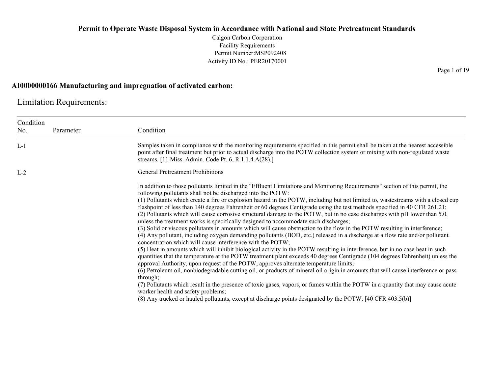Calgon Carbon Corporation Facility Requirements Permit Number:MSP092408 Activity ID No.: PER20170001

### **AI0000000166 Manufacturing and impregnation of activated carbon:**

Limitation Requirements:

| Condition<br>No. | Parameter | Condition                                                                                                                                                                                                                                                                                                                                                                                                                                                                                                                                                                                                                                                                                                                                                                                                                                                                                                                                                                                                                                                                                                                                                                                                                                                                                                                                                                                                                                                                                                                                                                                                                                                                                                                                                                                                          |
|------------------|-----------|--------------------------------------------------------------------------------------------------------------------------------------------------------------------------------------------------------------------------------------------------------------------------------------------------------------------------------------------------------------------------------------------------------------------------------------------------------------------------------------------------------------------------------------------------------------------------------------------------------------------------------------------------------------------------------------------------------------------------------------------------------------------------------------------------------------------------------------------------------------------------------------------------------------------------------------------------------------------------------------------------------------------------------------------------------------------------------------------------------------------------------------------------------------------------------------------------------------------------------------------------------------------------------------------------------------------------------------------------------------------------------------------------------------------------------------------------------------------------------------------------------------------------------------------------------------------------------------------------------------------------------------------------------------------------------------------------------------------------------------------------------------------------------------------------------------------|
| $L-1$            |           | Samples taken in compliance with the monitoring requirements specified in this permit shall be taken at the nearest accessible<br>point after final treatment but prior to actual discharge into the POTW collection system or mixing with non-regulated waste<br>streams. [11 Miss. Admin. Code Pt. 6, R.1.1.4.A(28).]                                                                                                                                                                                                                                                                                                                                                                                                                                                                                                                                                                                                                                                                                                                                                                                                                                                                                                                                                                                                                                                                                                                                                                                                                                                                                                                                                                                                                                                                                            |
| $L-2$            |           | <b>General Pretreatment Prohibitions</b>                                                                                                                                                                                                                                                                                                                                                                                                                                                                                                                                                                                                                                                                                                                                                                                                                                                                                                                                                                                                                                                                                                                                                                                                                                                                                                                                                                                                                                                                                                                                                                                                                                                                                                                                                                           |
|                  |           | In addition to those pollutants limited in the "Effluent Limitations and Monitoring Requirements" section of this permit, the<br>following pollutants shall not be discharged into the POTW:<br>(1) Pollutants which create a fire or explosion hazard in the POTW, including but not limited to, wastestreams with a closed cup<br>flashpoint of less than 140 degrees Fahrenheit or 60 degrees Centigrade using the test methods specified in 40 CFR 261.21;<br>(2) Pollutants which will cause corrosive structural damage to the POTW, but in no case discharges with pH lower than 5.0,<br>unless the treatment works is specifically designed to accommodate such discharges;<br>(3) Solid or viscous pollutants in amounts which will cause obstruction to the flow in the POTW resulting in interference;<br>(4) Any pollutant, including oxygen demanding pollutants (BOD, etc.) released in a discharge at a flow rate and/or pollutant<br>concentration which will cause interference with the POTW;<br>(5) Heat in amounts which will inhibit biological activity in the POTW resulting in interference, but in no case heat in such<br>quantities that the temperature at the POTW treatment plant exceeds 40 degrees Centigrade (104 degrees Fahrenheit) unless the<br>approval Authority, upon request of the POTW, approves alternate temperature limits;<br>(6) Petroleum oil, nonbiodegradable cutting oil, or products of mineral oil origin in amounts that will cause interference or pass<br>through;<br>(7) Pollutants which result in the presence of toxic gases, vapors, or fumes within the POTW in a quantity that may cause acute<br>worker health and safety problems;<br>(8) Any trucked or hauled pollutants, except at discharge points designated by the POTW. [40 CFR 403.5(b)] |

Page 1 of 19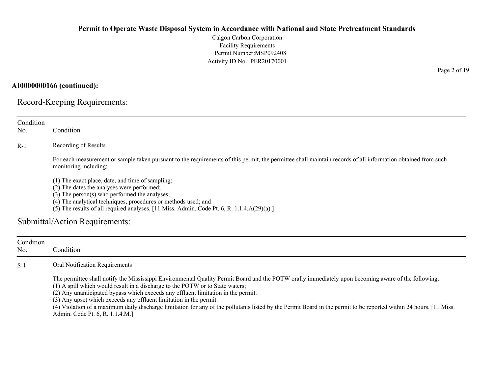Calgon Carbon Corporation Facility Requirements Permit Number:MSP092408 Activity ID No.: PER20170001

**AI0000000166 (continued):**

Record-Keeping Requirements:

| Condition<br>No. | Condition                                                                                                                                                                                                                                                                                                                                                                                                                                                                                                                                                                                                |
|------------------|----------------------------------------------------------------------------------------------------------------------------------------------------------------------------------------------------------------------------------------------------------------------------------------------------------------------------------------------------------------------------------------------------------------------------------------------------------------------------------------------------------------------------------------------------------------------------------------------------------|
| $R-1$            | Recording of Results                                                                                                                                                                                                                                                                                                                                                                                                                                                                                                                                                                                     |
|                  | For each measurement or sample taken pursuant to the requirements of this permit, the permittee shall maintain records of all information obtained from such<br>monitoring including:                                                                                                                                                                                                                                                                                                                                                                                                                    |
|                  | (1) The exact place, date, and time of sampling;<br>(2) The dates the analyses were performed;<br>(3) The person(s) who performed the analyses;<br>(4) The analytical techniques, procedures or methods used; and<br>(5) The results of all required analyses. [11 Miss. Admin. Code Pt. 6, R. 1.1.4.A(29)(a).]                                                                                                                                                                                                                                                                                          |
|                  | Submittal/Action Requirements:                                                                                                                                                                                                                                                                                                                                                                                                                                                                                                                                                                           |
| Condition<br>No. | Condition                                                                                                                                                                                                                                                                                                                                                                                                                                                                                                                                                                                                |
| $S-1$            | Oral Notification Requirements                                                                                                                                                                                                                                                                                                                                                                                                                                                                                                                                                                           |
|                  | The permittee shall notify the Mississippi Environmental Quality Permit Board and the POTW orally immediately upon becoming aware of the following:<br>(1) A spill which would result in a discharge to the POTW or to State waters;<br>(2) Any unanticipated bypass which exceeds any effluent limitation in the permit.<br>(3) Any upset which exceeds any effluent limitation in the permit.<br>(4) Violation of a maximum daily discharge limitation for any of the pollutants listed by the Permit Board in the permit to be reported within 24 hours. [11 Miss.<br>Admin. Code Pt. 6, R. 1.1.4.M.] |

Page 2 of 19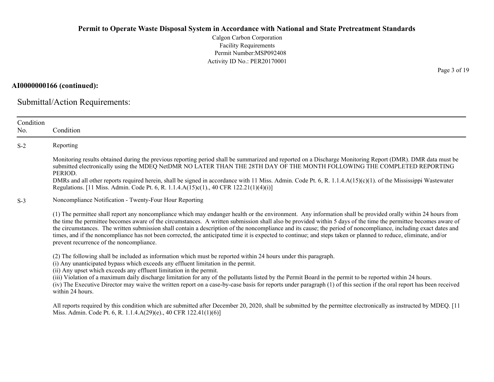Calgon Carbon Corporation Facility Requirements Permit Number:MSP092408 Activity ID No.: PER20170001

**AI0000000166 (continued):**

Submittal/Action Requirements:

| Condition<br>No. | Condition                                                                                                                                                                                                                                                                                                                                                                                                                                                                                                                                                                                                                                                                                                           |
|------------------|---------------------------------------------------------------------------------------------------------------------------------------------------------------------------------------------------------------------------------------------------------------------------------------------------------------------------------------------------------------------------------------------------------------------------------------------------------------------------------------------------------------------------------------------------------------------------------------------------------------------------------------------------------------------------------------------------------------------|
|                  |                                                                                                                                                                                                                                                                                                                                                                                                                                                                                                                                                                                                                                                                                                                     |
| $S-2$            | Reporting                                                                                                                                                                                                                                                                                                                                                                                                                                                                                                                                                                                                                                                                                                           |
|                  | Monitoring results obtained during the previous reporting period shall be summarized and reported on a Discharge Monitoring Report (DMR). DMR data must be<br>submitted electronically using the MDEQ NetDMR NO LATER THAN THE 28TH DAY OF THE MONTH FOLLOWING THE COMPLETED REPORTING<br>PERIOD.                                                                                                                                                                                                                                                                                                                                                                                                                   |
|                  | DMRs and all other reports required herein, shall be signed in accordance with 11 Miss. Admin. Code Pt. 6, R. 1.1.4. $A(15)(c)(1)$ . of the Mississippi Wastewater<br>Regulations. [11 Miss. Admin. Code Pt. 6, R. 1.1.4.A(15)c(1)., 40 CFR 122.21(1)(4)(i)]                                                                                                                                                                                                                                                                                                                                                                                                                                                        |
| $S-3$            | Noncompliance Notification - Twenty-Four Hour Reporting                                                                                                                                                                                                                                                                                                                                                                                                                                                                                                                                                                                                                                                             |
|                  | (1) The permittee shall report any noncompliance which may endanger health or the environment. Any information shall be provided orally within 24 hours from<br>the time the permittee becomes aware of the circumstances. A written submission shall also be provided within 5 days of the time the permittee becomes aware of<br>the circumstances. The written submission shall contain a description of the noncompliance and its cause; the period of noncompliance, including exact dates and<br>times, and if the noncompliance has not been corrected, the anticipated time it is expected to continue; and steps taken or planned to reduce, eliminate, and/or<br>prevent recurrence of the noncompliance. |
|                  | (2) The following shall be included as information which must be reported within 24 hours under this paragraph.<br>(i) Any unanticipated bypass which exceeds any effluent limitation in the permit.<br>(ii) Any upset which exceeds any effluent limitation in the permit.<br>(iii) Violation of a maximum daily discharge limitation for any of the pollutants listed by the Permit Board in the permit to be reported within 24 hours.<br>(iv) The Executive Director may waive the written report on a case-by-case basis for reports under paragraph (1) of this section if the oral report has been received<br>within 24 hours.                                                                              |
|                  | All reports required by this condition which are submitted after December 20, 2020, shall be submitted by the permittee electronically as instructed by MDEQ. [11<br>Miss. Admin. Code Pt. 6, R. 1.1.4.A(29)(e)., 40 CFR 122.41(1)(6)]                                                                                                                                                                                                                                                                                                                                                                                                                                                                              |

Page 3 of 19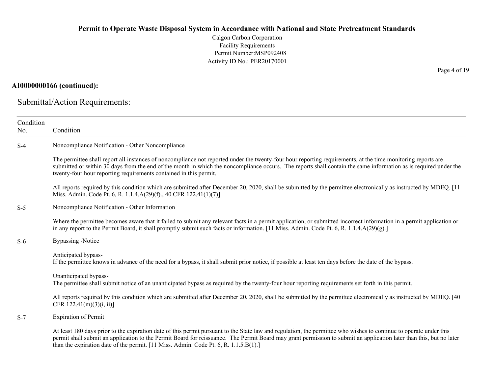Calgon Carbon Corporation Facility Requirements Permit Number:MSP092408 Activity ID No.: PER20170001

## **AI0000000166 (continued):**

Submittal/Action Requirements:

| Condition<br>No. | Condition                                                                                                                                                                                                                                                                                                                                                                                                                         |
|------------------|-----------------------------------------------------------------------------------------------------------------------------------------------------------------------------------------------------------------------------------------------------------------------------------------------------------------------------------------------------------------------------------------------------------------------------------|
| $S-4$            | Noncompliance Notification - Other Noncompliance                                                                                                                                                                                                                                                                                                                                                                                  |
|                  | The permittee shall report all instances of noncompliance not reported under the twenty-four hour reporting requirements, at the time monitoring reports are<br>submitted or within 30 days from the end of the month in which the noncompliance occurs. The reports shall contain the same information as is required under the<br>twenty-four hour reporting requirements contained in this permit.                             |
|                  | All reports required by this condition which are submitted after December 20, 2020, shall be submitted by the permittee electronically as instructed by MDEQ. [11<br>Miss. Admin. Code Pt. 6, R. 1.1.4.A(29)(f)., 40 CFR 122.41(1)(7)]                                                                                                                                                                                            |
| $S-5$            | Noncompliance Notification - Other Information                                                                                                                                                                                                                                                                                                                                                                                    |
|                  | Where the permittee becomes aware that it failed to submit any relevant facts in a permit application, or submitted incorrect information in a permit application or<br>in any report to the Permit Board, it shall promptly submit such facts or information. [11 Miss. Admin. Code Pt. 6, R. 1.1.4.A(29)(g).]                                                                                                                   |
| $S-6$            | Bypassing -Notice                                                                                                                                                                                                                                                                                                                                                                                                                 |
|                  | Anticipated bypass-<br>If the permittee knows in advance of the need for a bypass, it shall submit prior notice, if possible at least ten days before the date of the bypass.                                                                                                                                                                                                                                                     |
|                  | Unanticipated bypass-<br>The permittee shall submit notice of an unanticipated bypass as required by the twenty-four hour reporting requirements set forth in this permit.                                                                                                                                                                                                                                                        |
|                  | All reports required by this condition which are submitted after December 20, 2020, shall be submitted by the permittee electronically as instructed by MDEQ. [40]<br>CFR $122.41(m)(3)(i, ii)$                                                                                                                                                                                                                                   |
| $S-7$            | <b>Expiration of Permit</b>                                                                                                                                                                                                                                                                                                                                                                                                       |
|                  | At least 180 days prior to the expiration date of this permit pursuant to the State law and regulation, the permittee who wishes to continue to operate under this<br>permit shall submit an application to the Permit Board for reissuance. The Permit Board may grant permission to submit an application later than this, but no later<br>than the expiration date of the permit. [11 Miss. Admin. Code Pt. 6, R. 1.1.5.B(1).] |

Page 4 of 19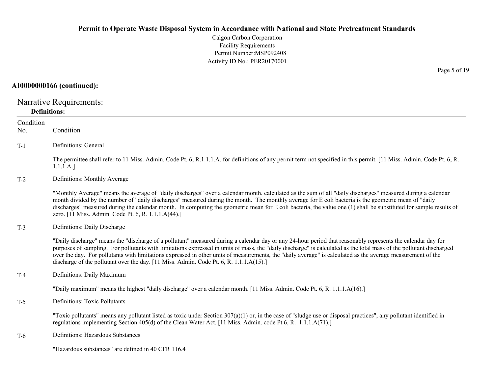Calgon Carbon Corporation Facility Requirements Permit Number:MSP092408 Activity ID No.: PER20170001

## **AI0000000166 (continued):**

Narrative Requirements: **Definitions:**

| Condition<br>No. | Condition                                                                                                                                                                                                                                                                                                                                                                                                                                                                                                                                                                                   |
|------------------|---------------------------------------------------------------------------------------------------------------------------------------------------------------------------------------------------------------------------------------------------------------------------------------------------------------------------------------------------------------------------------------------------------------------------------------------------------------------------------------------------------------------------------------------------------------------------------------------|
| $T-1$            | Definitions: General                                                                                                                                                                                                                                                                                                                                                                                                                                                                                                                                                                        |
|                  | The permittee shall refer to 11 Miss. Admin. Code Pt. 6, R.1.1.1.A. for definitions of any permit term not specified in this permit. [11 Miss. Admin. Code Pt. 6, R.<br>1.1.1.A.]                                                                                                                                                                                                                                                                                                                                                                                                           |
| $T-2$            | Definitions: Monthly Average                                                                                                                                                                                                                                                                                                                                                                                                                                                                                                                                                                |
|                  | "Monthly Average" means the average of "daily discharges" over a calendar month, calculated as the sum of all "daily discharges" measured during a calendar<br>month divided by the number of "daily discharges" measured during the month. The monthly average for E coli bacteria is the geometric mean of "daily<br>discharges" measured during the calendar month. In computing the geometric mean for E coli bacteria, the value one (1) shall be substituted for sample results of<br>zero. [11 Miss. Admin. Code Pt. 6, R. 1.1.1.A(44).]                                             |
| $T-3$            | Definitions: Daily Discharge                                                                                                                                                                                                                                                                                                                                                                                                                                                                                                                                                                |
|                  | "Daily discharge" means the "discharge of a pollutant" measured during a calendar day or any 24-hour period that reasonably represents the calendar day for<br>purposes of sampling. For pollutants with limitations expressed in units of mass, the "daily discharge" is calculated as the total mass of the pollutant discharged<br>over the day. For pollutants with limitations expressed in other units of measurements, the "daily average" is calculated as the average measurement of the<br>discharge of the pollutant over the day. [11 Miss. Admin. Code Pt. 6, R. 1.1.1.A(15).] |
| $T-4$            | Definitions: Daily Maximum                                                                                                                                                                                                                                                                                                                                                                                                                                                                                                                                                                  |
|                  | "Daily maximum" means the highest "daily discharge" over a calendar month. [11 Miss. Admin. Code Pt. 6, R. 1.1.1.A(16).]                                                                                                                                                                                                                                                                                                                                                                                                                                                                    |
| $T-5$            | Definitions: Toxic Pollutants                                                                                                                                                                                                                                                                                                                                                                                                                                                                                                                                                               |
|                  | "Toxic pollutants" means any pollutant listed as toxic under Section $307(a)(1)$ or, in the case of "sludge use or disposal practices", any pollutant identified in<br>regulations implementing Section 405(d) of the Clean Water Act. [11 Miss. Admin. code Pt.6, R. 1.1.1.A(71).]                                                                                                                                                                                                                                                                                                         |
| $T-6$            | Definitions: Hazardous Substances                                                                                                                                                                                                                                                                                                                                                                                                                                                                                                                                                           |
|                  | "Hazardous substances" are defined in 40 CFR 116.4                                                                                                                                                                                                                                                                                                                                                                                                                                                                                                                                          |

Page 5 of 19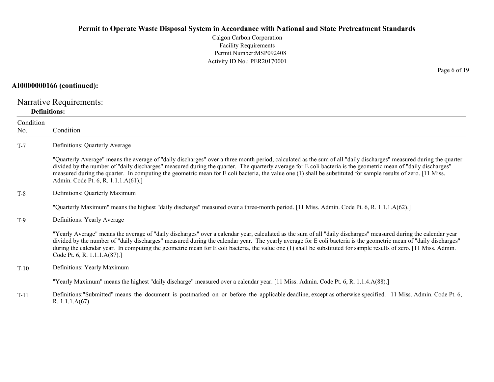Calgon Carbon Corporation Facility Requirements Permit Number:MSP092408 Activity ID No.: PER20170001

#### **AI0000000166 (continued):**

Narrative Requirements: **Definitions:**

R. 1.1.1.A(67)

ConditionNo. ConditionT-7 Definitions: Quarterly Average "Quarterly Average" means the average of "daily discharges" over a three month period, calculated as the sum of all "daily discharges" measured during the quarter divided by the number of "daily discharges" measured during the quarter. The quarterly average for E coli bacteria is the geometric mean of "daily discharges" measured during the quarter. In computing the geometric mean for E coli bacteria, the value one (1) shall be substituted for sample results of zero. [11 Miss. Admin. Code Pt. 6, R. 1.1.1.A(61).] T-8 Definitions: Quarterly Maximum "Quarterly Maximum" means the highest "daily discharge" measured over a three-month period. [11 Miss. Admin. Code Pt. 6, R. 1.1.1.A(62).] T-9 Definitions: Yearly Average "Yearly Average" means the average of "daily discharges" over a calendar year, calculated as the sum of all "daily discharges" measured during the calendar year divided by the number of "daily discharges" measured during the calendar year. The yearly average for E coli bacteria is the geometric mean of "daily discharges" during the calendar year. In computing the geometric mean for E coli bacteria, the value one (1) shall be substituted for sample results of zero. [11 Miss. Admin. Code Pt. 6, R. 1.1.1.A(87).] T-10 Definitions: Yearly Maximum "Yearly Maximum" means the highest "daily discharge" measured over a calendar year. [11 Miss. Admin. Code Pt. 6, R. 1.1.4.A(88).] T-11Definitions:"Submitted" means the document is postmarked on or before the applicable deadline, except as otherwise specified. 11 Miss. Admin. Code Pt. 6,

Page 6 of 19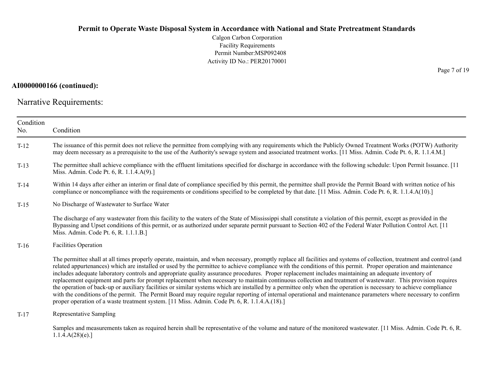Calgon Carbon Corporation Facility Requirements Permit Number:MSP092408 Activity ID No.: PER20170001

## **AI0000000166 (continued):**

Narrative Requirements:

| Condition<br>No. | Condition                                                                                                                                                                                                                                                                                                                                                                                                                                                                                                                                                                                                                                                                                                                                                                                                                                                                                                                                                                                                                                                                                                |
|------------------|----------------------------------------------------------------------------------------------------------------------------------------------------------------------------------------------------------------------------------------------------------------------------------------------------------------------------------------------------------------------------------------------------------------------------------------------------------------------------------------------------------------------------------------------------------------------------------------------------------------------------------------------------------------------------------------------------------------------------------------------------------------------------------------------------------------------------------------------------------------------------------------------------------------------------------------------------------------------------------------------------------------------------------------------------------------------------------------------------------|
| $T-12$           | The issuance of this permit does not relieve the permittee from complying with any requirements which the Publicly Owned Treatment Works (POTW) Authority<br>may deem necessary as a prerequisite to the use of the Authority's sewage system and associated treatment works. [11 Miss. Admin. Code Pt. 6, R. 1.1.4.M.]                                                                                                                                                                                                                                                                                                                                                                                                                                                                                                                                                                                                                                                                                                                                                                                  |
| $T-13$           | The permittee shall achieve compliance with the effluent limitations specified for discharge in accordance with the following schedule: Upon Permit Issuance. [11<br>Miss. Admin. Code Pt. 6, R. 1.1.4.A(9).]                                                                                                                                                                                                                                                                                                                                                                                                                                                                                                                                                                                                                                                                                                                                                                                                                                                                                            |
| $T-14$           | Within 14 days after either an interim or final date of compliance specified by this permit, the permittee shall provide the Permit Board with written notice of his<br>compliance or noncompliance with the requirements or conditions specified to be completed by that date. [11 Miss. Admin. Code Pt. 6, R. 1.1.4.A(10).]                                                                                                                                                                                                                                                                                                                                                                                                                                                                                                                                                                                                                                                                                                                                                                            |
| $T-15$           | No Discharge of Wastewater to Surface Water                                                                                                                                                                                                                                                                                                                                                                                                                                                                                                                                                                                                                                                                                                                                                                                                                                                                                                                                                                                                                                                              |
|                  | The discharge of any wastewater from this facility to the waters of the State of Mississippi shall constitute a violation of this permit, except as provided in the<br>Bypassing and Upset conditions of this permit, or as authorized under separate permit pursuant to Section 402 of the Federal Water Pollution Control Act. [11<br>Miss. Admin. Code Pt. 6, R. 1.1.1.B.]                                                                                                                                                                                                                                                                                                                                                                                                                                                                                                                                                                                                                                                                                                                            |
| $T-16$           | Facilities Operation                                                                                                                                                                                                                                                                                                                                                                                                                                                                                                                                                                                                                                                                                                                                                                                                                                                                                                                                                                                                                                                                                     |
|                  | The permittee shall at all times properly operate, maintain, and when necessary, promptly replace all facilities and systems of collection, treatment and control (and<br>related appurtenances) which are installed or used by the permittee to achieve compliance with the conditions of this permit. Proper operation and maintenance<br>includes adequate laboratory controls and appropriate quality assurance procedures. Proper replacement includes maintaining an adequate inventory of<br>replacement equipment and parts for prompt replacement when necessary to maintain continuous collection and treatment of wastewater. This provision requires<br>the operation of back-up or auxiliary facilities or similar systems which are installed by a permittee only when the operation is necessary to achieve compliance<br>with the conditions of the permit. The Permit Board may require regular reporting of internal operational and maintenance parameters where necessary to confirm<br>proper operation of a waste treatment system. [11 Miss. Admin. Code Pt. 6, R. 1.1.4.A.(18).] |
| $T-17$           | Representative Sampling                                                                                                                                                                                                                                                                                                                                                                                                                                                                                                                                                                                                                                                                                                                                                                                                                                                                                                                                                                                                                                                                                  |
|                  | Samples and measurements taken as required herein shall be representative of the volume and nature of the monitored wastewater. [11 Miss. Admin. Code Pt. 6, R.<br>1.1.4.A(28)(e).                                                                                                                                                                                                                                                                                                                                                                                                                                                                                                                                                                                                                                                                                                                                                                                                                                                                                                                       |

Page 7 of 19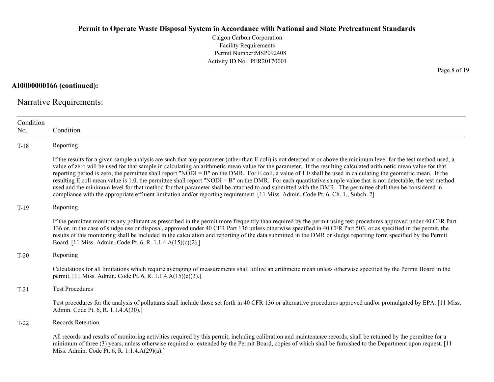Calgon Carbon Corporation Facility Requirements Permit Number:MSP092408 Activity ID No.: PER20170001

**AI0000000166 (continued):**

Narrative Requirements:

| Condition<br>No. | Condition                                                                                                                                                                                                                                                                                                                                                                                                                                                                                                                                                                                                                                                                                                                                                                                                                                                                                                                                                                      |
|------------------|--------------------------------------------------------------------------------------------------------------------------------------------------------------------------------------------------------------------------------------------------------------------------------------------------------------------------------------------------------------------------------------------------------------------------------------------------------------------------------------------------------------------------------------------------------------------------------------------------------------------------------------------------------------------------------------------------------------------------------------------------------------------------------------------------------------------------------------------------------------------------------------------------------------------------------------------------------------------------------|
| $T-18$           | Reporting                                                                                                                                                                                                                                                                                                                                                                                                                                                                                                                                                                                                                                                                                                                                                                                                                                                                                                                                                                      |
|                  | If the results for a given sample analysis are such that any parameter (other than E coli) is not detected at or above the minimum level for the test method used, a<br>value of zero will be used for that sample in calculating an arithmetic mean value for the parameter. If the resulting calculated arithmetic mean value for that<br>reporting period is zero, the permittee shall report "NODI = B" on the DMR. For E coli, a value of 1.0 shall be used in calculating the geometric mean. If the<br>resulting E coli mean value is 1.0, the permittee shall report "NODI = B" on the DMR. For each quantitative sample value that is not detectable, the test method<br>used and the minimum level for that method for that parameter shall be attached to and submitted with the DMR. The permittee shall then be considered in<br>compliance with the appropriate effluent limitation and/or reporting requirement. [11 Miss. Admin. Code Pt. 6, Ch. 1., Subch. 2] |
| $T-19$           | Reporting                                                                                                                                                                                                                                                                                                                                                                                                                                                                                                                                                                                                                                                                                                                                                                                                                                                                                                                                                                      |
|                  | If the permittee monitors any pollutant as prescribed in the permit more frequently than required by the permit using test procedures approved under 40 CFR Part<br>136 or, in the case of sludge use or disposal, approved under 40 CFR Part 136 unless otherwise specified in 40 CFR Part 503, or as specified in the permit, the<br>results of this monitoring shall be included in the calculation and reporting of the data submitted in the DMR or sludge reporting form specified by the Permit<br>Board. [11 Miss. Admin. Code Pt. 6, R. 1.1.4.A(15)(c)(2).]                                                                                                                                                                                                                                                                                                                                                                                                           |
| $T-20$           | Reporting                                                                                                                                                                                                                                                                                                                                                                                                                                                                                                                                                                                                                                                                                                                                                                                                                                                                                                                                                                      |
|                  | Calculations for all limitations which require averaging of measurements shall utilize an arithmetic mean unless otherwise specified by the Permit Board in the<br>permit. [11 Miss. Admin. Code Pt. 6, R. 1.1.4.A(15)(c)(3).]                                                                                                                                                                                                                                                                                                                                                                                                                                                                                                                                                                                                                                                                                                                                                 |
| $T-21$           | <b>Test Procedures</b>                                                                                                                                                                                                                                                                                                                                                                                                                                                                                                                                                                                                                                                                                                                                                                                                                                                                                                                                                         |
|                  | Test procedures for the analysis of pollutants shall include those set forth in 40 CFR 136 or alternative procedures approved and/or promulgated by EPA. [11 Miss.]<br>Admin. Code Pt. 6, R. 1.1.4.A(30).]                                                                                                                                                                                                                                                                                                                                                                                                                                                                                                                                                                                                                                                                                                                                                                     |
| $T-22$           | Records Retention                                                                                                                                                                                                                                                                                                                                                                                                                                                                                                                                                                                                                                                                                                                                                                                                                                                                                                                                                              |
|                  | All records and results of monitoring activities required by this permit, including calibration and maintenance records, shall be retained by the permittee for a<br>minimum of three (3) years, unless otherwise required or extended by the Permit Board, copies of which shall be furnished to the Department upon request. [11]<br>Miss. Admin. Code Pt. 6, R. 1.1.4.A(29)(a).]                                                                                                                                                                                                                                                                                                                                                                                                                                                                                                                                                                                            |

Page 8 of 19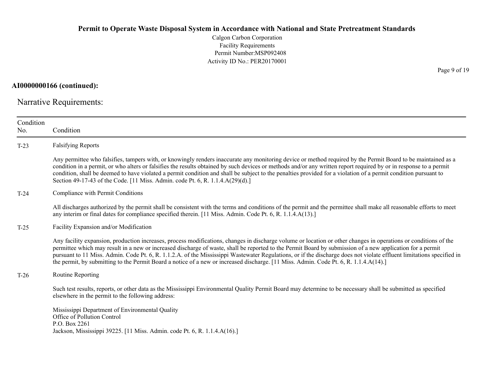Calgon Carbon Corporation Facility Requirements Permit Number:MSP092408 Activity ID No.: PER20170001

**AI0000000166 (continued):**

Narrative Requirements:

| Condition<br>No. | Condition                                                                                                                                                                                                                                                                                                                                                                                                                                                                                                                                                                                                                                        |  |  |  |
|------------------|--------------------------------------------------------------------------------------------------------------------------------------------------------------------------------------------------------------------------------------------------------------------------------------------------------------------------------------------------------------------------------------------------------------------------------------------------------------------------------------------------------------------------------------------------------------------------------------------------------------------------------------------------|--|--|--|
| $T-23$           | <b>Falsifying Reports</b>                                                                                                                                                                                                                                                                                                                                                                                                                                                                                                                                                                                                                        |  |  |  |
|                  | Any permittee who falsifies, tampers with, or knowingly renders inaccurate any monitoring device or method required by the Permit Board to be maintained as a<br>condition in a permit, or who alters or falsifies the results obtained by such devices or methods and/or any written report required by or in response to a permit<br>condition, shall be deemed to have violated a permit condition and shall be subject to the penalties provided for a violation of a permit condition pursuant to<br>Section 49-17-43 of the Code. [11 Miss. Admin. code Pt. 6, R. 1.1.4.A(29)(d).]                                                         |  |  |  |
| $T-24$           | Compliance with Permit Conditions                                                                                                                                                                                                                                                                                                                                                                                                                                                                                                                                                                                                                |  |  |  |
|                  | All discharges authorized by the permit shall be consistent with the terms and conditions of the permit and the permittee shall make all reasonable efforts to meet<br>any interim or final dates for compliance specified therein. [11 Miss. Admin. Code Pt. 6, R. 1.1.4.A(13).]                                                                                                                                                                                                                                                                                                                                                                |  |  |  |
| $T-25$           | Facility Expansion and/or Modification                                                                                                                                                                                                                                                                                                                                                                                                                                                                                                                                                                                                           |  |  |  |
|                  | Any facility expansion, production increases, process modifications, changes in discharge volume or location or other changes in operations or conditions of the<br>permittee which may result in a new or increased discharge of waste, shall be reported to the Permit Board by submission of a new application for a permit<br>pursuant to 11 Miss. Admin. Code Pt. 6, R. 1.1.2.A. of the Mississippi Wastewater Regulations, or if the discharge does not violate effluent limitations specified in<br>the permit, by submitting to the Permit Board a notice of a new or increased discharge. [11 Miss. Admin. Code Pt. 6, R. 1.1.4.A(14).] |  |  |  |
| $T-26$           | Routine Reporting                                                                                                                                                                                                                                                                                                                                                                                                                                                                                                                                                                                                                                |  |  |  |
|                  | Such test results, reports, or other data as the Mississippi Environmental Quality Permit Board may determine to be necessary shall be submitted as specified<br>elsewhere in the permit to the following address:                                                                                                                                                                                                                                                                                                                                                                                                                               |  |  |  |
|                  | Mississippi Department of Environmental Quality<br>Office of Pollution Control<br>P.O. Box 2261<br>Jackson, Mississippi 39225. [11 Miss. Admin. code Pt. 6, R. 1.1.4.A(16).]                                                                                                                                                                                                                                                                                                                                                                                                                                                                     |  |  |  |
|                  |                                                                                                                                                                                                                                                                                                                                                                                                                                                                                                                                                                                                                                                  |  |  |  |

Page 9 of 19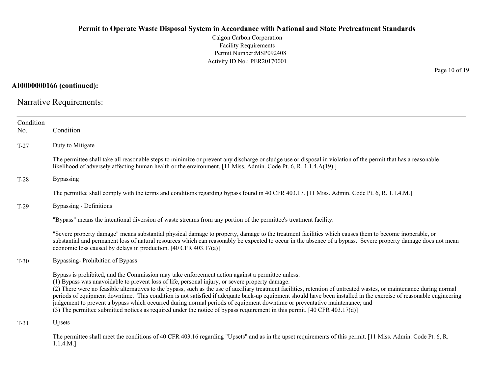Calgon Carbon Corporation Facility Requirements Permit Number:MSP092408 Activity ID No.: PER20170001

**AI0000000166 (continued):**

Narrative Requirements:

| Condition<br>No. | Condition                                                                                                                                                                                                                                                                                                                                                                                                                                                                                                                                                                                                                                                                                                                                                                                                   |  |  |  |
|------------------|-------------------------------------------------------------------------------------------------------------------------------------------------------------------------------------------------------------------------------------------------------------------------------------------------------------------------------------------------------------------------------------------------------------------------------------------------------------------------------------------------------------------------------------------------------------------------------------------------------------------------------------------------------------------------------------------------------------------------------------------------------------------------------------------------------------|--|--|--|
| $T-27$           | Duty to Mitigate                                                                                                                                                                                                                                                                                                                                                                                                                                                                                                                                                                                                                                                                                                                                                                                            |  |  |  |
|                  | The permittee shall take all reasonable steps to minimize or prevent any discharge or sludge use or disposal in violation of the permit that has a reasonable<br>likelihood of adversely affecting human health or the environment. [11 Miss. Admin. Code Pt. 6, R. 1.1.4.A(19).]                                                                                                                                                                                                                                                                                                                                                                                                                                                                                                                           |  |  |  |
| $T-28$           | <b>Bypassing</b>                                                                                                                                                                                                                                                                                                                                                                                                                                                                                                                                                                                                                                                                                                                                                                                            |  |  |  |
|                  | The permittee shall comply with the terms and conditions regarding bypass found in 40 CFR 403.17. [11 Miss. Admin. Code Pt. 6, R. 1.1.4.M.]                                                                                                                                                                                                                                                                                                                                                                                                                                                                                                                                                                                                                                                                 |  |  |  |
| $T-29$           | Bypassing - Definitions                                                                                                                                                                                                                                                                                                                                                                                                                                                                                                                                                                                                                                                                                                                                                                                     |  |  |  |
|                  | "Bypass" means the intentional diversion of waste streams from any portion of the permittee's treatment facility.                                                                                                                                                                                                                                                                                                                                                                                                                                                                                                                                                                                                                                                                                           |  |  |  |
|                  | "Severe property damage" means substantial physical damage to property, damage to the treatment facilities which causes them to become inoperable, or<br>substantial and permanent loss of natural resources which can reasonably be expected to occur in the absence of a bypass. Severe property damage does not mean<br>economic loss caused by delays in production. [40 CFR 403.17(a)]                                                                                                                                                                                                                                                                                                                                                                                                                 |  |  |  |
| $T-30$           | Bypassing-Prohibition of Bypass                                                                                                                                                                                                                                                                                                                                                                                                                                                                                                                                                                                                                                                                                                                                                                             |  |  |  |
|                  | Bypass is prohibited, and the Commission may take enforcement action against a permittee unless:<br>(1) Bypass was unavoidable to prevent loss of life, personal injury, or severe property damage.<br>(2) There were no feasible alternatives to the bypass, such as the use of auxiliary treatment facilities, retention of untreated wastes, or maintenance during normal<br>periods of equipment downtime. This condition is not satisfied if adequate back-up equipment should have been installed in the exercise of reasonable engineering<br>judgement to prevent a bypass which occurred during normal periods of equipment downtime or preventative maintenance; and<br>(3) The permittee submitted notices as required under the notice of bypass requirement in this permit. [40 CFR 403.17(d)] |  |  |  |
| $T-31$           | Upsets                                                                                                                                                                                                                                                                                                                                                                                                                                                                                                                                                                                                                                                                                                                                                                                                      |  |  |  |
|                  | The permittee shall meet the conditions of 40 CFR 403.16 regarding "Upsets" and as in the upset requirements of this permit. [11 Miss. Admin. Code Pt. 6, R.<br>$1.1.4.M.$ ]                                                                                                                                                                                                                                                                                                                                                                                                                                                                                                                                                                                                                                |  |  |  |

Page 10 of 19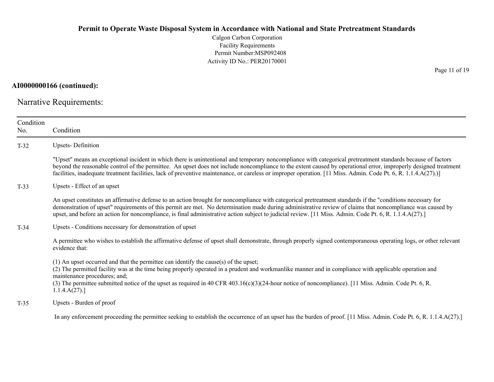Calgon Carbon Corporation Facility Requirements Permit Number:MSP092408 Activity ID No.: PER20170001

**AI0000000166 (continued):**

Narrative Requirements:

| Condition<br>No. | Condition                                                                                                                                                                                                                                                                                                                                                                                                                                                                                          |  |  |
|------------------|----------------------------------------------------------------------------------------------------------------------------------------------------------------------------------------------------------------------------------------------------------------------------------------------------------------------------------------------------------------------------------------------------------------------------------------------------------------------------------------------------|--|--|
| $T-32$           | <b>Upsets-Definition</b>                                                                                                                                                                                                                                                                                                                                                                                                                                                                           |  |  |
|                  | "Upset" means an exceptional incident in which there is unintentional and temporary noncompliance with categorical pretreatment standards because of factors<br>beyond the reasonable control of the permittee. An upset does not include noncompliance to the extent caused by operational error, improperly designed treatment<br>facilities, inadequate treatment facilities, lack of preventive maintenance, or careless or improper operation. [11 Miss. Admin. Code Pt. 6, R. 1.1.4.A(27).)] |  |  |
| $T-33$           | Upsets - Effect of an upset                                                                                                                                                                                                                                                                                                                                                                                                                                                                        |  |  |
|                  | An upset constitutes an affirmative defense to an action brought for noncompliance with categorical pretreatment standards if the "conditions necessary for<br>demonstration of upset" requirements of this permit are met. No determination made during administrative review of claims that noncompliance was caused by<br>upset, and before an action for noncompliance, is final administrative action subject to judicial review. [11 Miss. Admin. Code Pt. 6, R. 1.1.4.A(27).]               |  |  |
| $T-34$           | Upsets - Conditions necessary for demonstration of upset                                                                                                                                                                                                                                                                                                                                                                                                                                           |  |  |
|                  | A permittee who wishes to establish the affirmative defense of upset shall demonstrate, through properly signed contemporaneous operating logs, or other relevant<br>evidence that:                                                                                                                                                                                                                                                                                                                |  |  |
|                  | $(1)$ An upset occurred and that the permittee can identify the cause(s) of the upset;<br>(2) The permitted facility was at the time being properly operated in a prudent and workmanlike manner and in compliance with applicable operation and<br>maintenance procedures; and;<br>(3) The permittee submitted notice of the upset as required in 40 CFR 403.16(c)(3)(24-hour notice of noncompliance). [11 Miss. Admin. Code Pt. 6, R.<br>1.1.4.A(27).                                           |  |  |
| $T-35$           | Upsets - Burden of proof                                                                                                                                                                                                                                                                                                                                                                                                                                                                           |  |  |
|                  | In any enforcement proceeding the permittee seeking to establish the occurrence of an upset has the burden of proof. [11 Miss. Admin. Code Pt. 6, R. 1.1.4.A(27).]                                                                                                                                                                                                                                                                                                                                 |  |  |

Page 11 of 19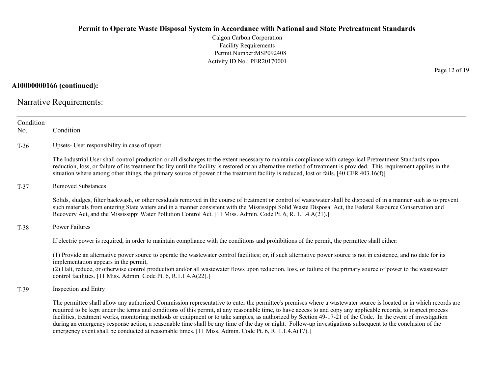Calgon Carbon Corporation Facility Requirements Permit Number:MSP092408 Activity ID No.: PER20170001

**AI0000000166 (continued):**

Narrative Requirements:

| Condition<br>No. | Condition                                                                                                                                                                                                                                                                                                                                                                                                                                                                                                                                                                                                                                                                                                                                                                     |  |  |  |  |
|------------------|-------------------------------------------------------------------------------------------------------------------------------------------------------------------------------------------------------------------------------------------------------------------------------------------------------------------------------------------------------------------------------------------------------------------------------------------------------------------------------------------------------------------------------------------------------------------------------------------------------------------------------------------------------------------------------------------------------------------------------------------------------------------------------|--|--|--|--|
| $T-36$           | Upsets- User responsibility in case of upset                                                                                                                                                                                                                                                                                                                                                                                                                                                                                                                                                                                                                                                                                                                                  |  |  |  |  |
|                  | The Industrial User shall control production or all discharges to the extent necessary to maintain compliance with categorical Pretreatment Standards upon<br>reduction, loss, or failure of its treatment facility until the facility is restored or an alternative method of treatment is provided. This requirement applies in the<br>situation where among other things, the primary source of power of the treatment facility is reduced, lost or fails. [40 CFR 403.16(f)]                                                                                                                                                                                                                                                                                              |  |  |  |  |
| $T-37$           | <b>Removed Substances</b>                                                                                                                                                                                                                                                                                                                                                                                                                                                                                                                                                                                                                                                                                                                                                     |  |  |  |  |
|                  | Solids, sludges, filter backwash, or other residuals removed in the course of treatment or control of wastewater shall be disposed of in a manner such as to prevent<br>such materials from entering State waters and in a manner consistent with the Mississippi Solid Waste Disposal Act, the Federal Resource Conservation and<br>Recovery Act, and the Mississippi Water Pollution Control Act. [11 Miss. Admin. Code Pt. 6, R. 1.1.4.A(21).]                                                                                                                                                                                                                                                                                                                             |  |  |  |  |
| $T-38$           | Power Failures                                                                                                                                                                                                                                                                                                                                                                                                                                                                                                                                                                                                                                                                                                                                                                |  |  |  |  |
|                  | If electric power is required, in order to maintain compliance with the conditions and prohibitions of the permit, the permittee shall either:                                                                                                                                                                                                                                                                                                                                                                                                                                                                                                                                                                                                                                |  |  |  |  |
|                  | (1) Provide an alternative power source to operate the wastewater control facilities; or, if such alternative power source is not in existence, and no date for its<br>implementation appears in the permit,<br>(2) Halt, reduce, or otherwise control production and/or all wastewater flows upon reduction, loss, or failure of the primary source of power to the wastewater<br>control facilities. [11 Miss. Admin. Code Pt. 6, R.1.1.4.A(22).]                                                                                                                                                                                                                                                                                                                           |  |  |  |  |
| $T-39$           | Inspection and Entry                                                                                                                                                                                                                                                                                                                                                                                                                                                                                                                                                                                                                                                                                                                                                          |  |  |  |  |
|                  | The permittee shall allow any authorized Commission representative to enter the permittee's premises where a wastewater source is located or in which records are<br>required to be kept under the terms and conditions of this permit, at any reasonable time, to have access to and copy any applicable records, to inspect process<br>facilities, treatment works, monitoring methods or equipment or to take samples, as authorized by Section 49-17-21 of the Code. In the event of investigation<br>during an emergency response action, a reasonable time shall be any time of the day or night. Follow-up investigations subsequent to the conclusion of the<br>emergency event shall be conducted at reasonable times. [11 Miss. Admin. Code Pt. 6, R. 1.1.4.A(17).] |  |  |  |  |

Page 12 of 19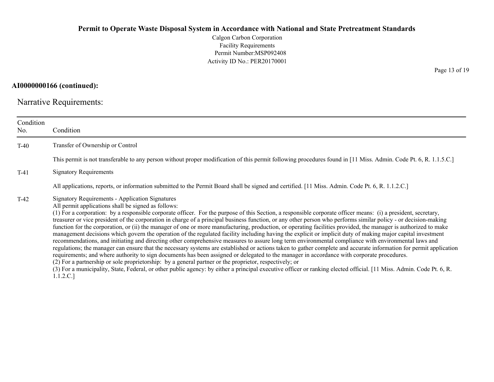Calgon Carbon Corporation Facility Requirements Permit Number:MSP092408 Activity ID No.: PER20170001

## **AI0000000166 (continued):**

Narrative Requirements:

| Condition<br>No. | Condition                                                                                                                                                                                                                                                                                                                                                                                                                                                                                                                                                                                                                                                                                                                                                                                                                                                                                                                                                                                                                                                                                                                                                                                                                                                                                                                                                                                                                                                                                                                                                      |
|------------------|----------------------------------------------------------------------------------------------------------------------------------------------------------------------------------------------------------------------------------------------------------------------------------------------------------------------------------------------------------------------------------------------------------------------------------------------------------------------------------------------------------------------------------------------------------------------------------------------------------------------------------------------------------------------------------------------------------------------------------------------------------------------------------------------------------------------------------------------------------------------------------------------------------------------------------------------------------------------------------------------------------------------------------------------------------------------------------------------------------------------------------------------------------------------------------------------------------------------------------------------------------------------------------------------------------------------------------------------------------------------------------------------------------------------------------------------------------------------------------------------------------------------------------------------------------------|
| $T-40$           | Transfer of Ownership or Control                                                                                                                                                                                                                                                                                                                                                                                                                                                                                                                                                                                                                                                                                                                                                                                                                                                                                                                                                                                                                                                                                                                                                                                                                                                                                                                                                                                                                                                                                                                               |
|                  | This permit is not transferable to any person without proper modification of this permit following procedures found in [11 Miss. Admin. Code Pt. 6, R. 1.1.5.C.]                                                                                                                                                                                                                                                                                                                                                                                                                                                                                                                                                                                                                                                                                                                                                                                                                                                                                                                                                                                                                                                                                                                                                                                                                                                                                                                                                                                               |
| $T-41$           | <b>Signatory Requirements</b>                                                                                                                                                                                                                                                                                                                                                                                                                                                                                                                                                                                                                                                                                                                                                                                                                                                                                                                                                                                                                                                                                                                                                                                                                                                                                                                                                                                                                                                                                                                                  |
|                  | All applications, reports, or information submitted to the Permit Board shall be signed and certified. [11 Miss. Admin. Code Pt. 6, R. 1.1.2.C.]                                                                                                                                                                                                                                                                                                                                                                                                                                                                                                                                                                                                                                                                                                                                                                                                                                                                                                                                                                                                                                                                                                                                                                                                                                                                                                                                                                                                               |
| $T-42$           | <b>Signatory Requirements - Application Signatures</b><br>All permit applications shall be signed as follows:<br>(1) For a corporation: by a responsible corporate officer. For the purpose of this Section, a responsible corporate officer means: (i) a president, secretary,<br>treasurer or vice president of the corporation in charge of a principal business function, or any other person who performs similar policy - or decision-making<br>function for the corporation, or (ii) the manager of one or more manufacturing, production, or operating facilities provided, the manager is authorized to make<br>management decisions which govern the operation of the regulated facility including having the explicit or implicit duty of making major capital investment<br>recommendations, and initiating and directing other comprehensive measures to assure long term environmental compliance with environmental laws and<br>regulations; the manager can ensure that the necessary systems are established or actions taken to gather complete and accurate information for permit application<br>requirements; and where authority to sign documents has been assigned or delegated to the manager in accordance with corporate procedures.<br>(2) For a partnership or sole proprietorship: by a general partner or the proprietor, respectively; or<br>(3) For a municipality, State, Federal, or other public agency: by either a principal executive officer or ranking elected official. [11 Miss. Admin. Code Pt. 6, R.<br>1.1.2.C.] |

Page 13 of 19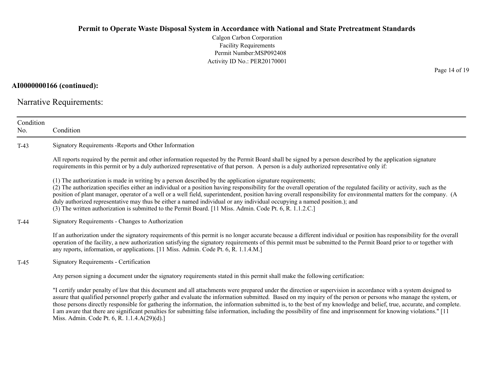Calgon Carbon Corporation Facility Requirements Permit Number:MSP092408 Activity ID No.: PER20170001

### **AI0000000166 (continued):**

Narrative Requirements:

| Condition<br>No. | Condition                                                                                                                                                                                                                                                                                                                                                                                                                                                                                                                                                                                                                                                                                          |  |  |
|------------------|----------------------------------------------------------------------------------------------------------------------------------------------------------------------------------------------------------------------------------------------------------------------------------------------------------------------------------------------------------------------------------------------------------------------------------------------------------------------------------------------------------------------------------------------------------------------------------------------------------------------------------------------------------------------------------------------------|--|--|
| $T-43$           | Signatory Requirements - Reports and Other Information                                                                                                                                                                                                                                                                                                                                                                                                                                                                                                                                                                                                                                             |  |  |
|                  | All reports required by the permit and other information requested by the Permit Board shall be signed by a person described by the application signature<br>requirements in this permit or by a duly authorized representative of that person. A person is a duly authorized representative only if:                                                                                                                                                                                                                                                                                                                                                                                              |  |  |
|                  | (1) The authorization is made in writing by a person described by the application signature requirements;<br>(2) The authorization specifies either an individual or a position having responsibility for the overall operation of the regulated facility or activity, such as the<br>position of plant manager, operator of a well or a well field, superintendent, position having overall responsibility for environmental matters for the company. (A<br>duly authorized representative may thus be either a named individual or any individual occupying a named position.); and<br>(3) The written authorization is submitted to the Permit Board. [11 Miss. Admin. Code Pt. 6, R. 1.1.2.C.] |  |  |
| $T-44$           | Signatory Requirements - Changes to Authorization                                                                                                                                                                                                                                                                                                                                                                                                                                                                                                                                                                                                                                                  |  |  |
|                  | If an authorization under the signatory requirements of this permit is no longer accurate because a different individual or position has responsibility for the overall<br>operation of the facility, a new authorization satisfying the signatory requirements of this permit must be submitted to the Permit Board prior to or together with<br>any reports, information, or applications. [11 Miss. Admin. Code Pt. 6, R. 1.1.4.M.]                                                                                                                                                                                                                                                             |  |  |
| $T-45$           | Signatory Requirements - Certification                                                                                                                                                                                                                                                                                                                                                                                                                                                                                                                                                                                                                                                             |  |  |
|                  | Any person signing a document under the signatory requirements stated in this permit shall make the following certification:                                                                                                                                                                                                                                                                                                                                                                                                                                                                                                                                                                       |  |  |
|                  | "I certify under penalty of law that this document and all attachments were prepared under the direction or supervision in accordance with a system designed to<br>assure that qualified personnel properly gather and evaluate the information submitted. Based on my inquiry of the person or persons who manage the system, or<br>those persons directly responsible for gathering the information, the information submitted is, to the best of my knowledge and belief, true, accurate, and complete.<br>I am aware that there are significant penalties for submitting false information, including the possibility of fine and imprisonment for knowing violations." [11                    |  |  |

Miss. Admin. Code Pt. 6, R. 1.1.4.A(29)(d).]

Page 14 of 19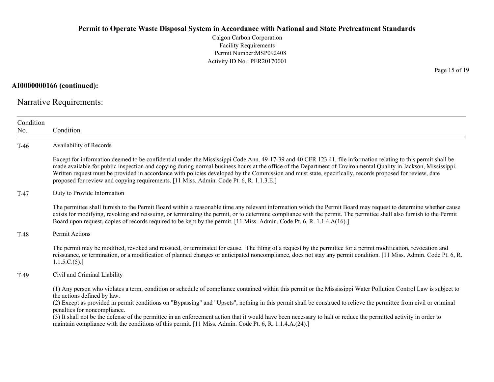Calgon Carbon Corporation Facility Requirements Permit Number:MSP092408 Activity ID No.: PER20170001

**AI0000000166 (continued):**

Narrative Requirements:

| Condition<br>No.                      | Condition                                                                                                                                                                                                                                                                                                                                                                                                                                                                                                                                                                                                                                                                            |  |  |
|---------------------------------------|--------------------------------------------------------------------------------------------------------------------------------------------------------------------------------------------------------------------------------------------------------------------------------------------------------------------------------------------------------------------------------------------------------------------------------------------------------------------------------------------------------------------------------------------------------------------------------------------------------------------------------------------------------------------------------------|--|--|
| $T-46$                                | Availability of Records                                                                                                                                                                                                                                                                                                                                                                                                                                                                                                                                                                                                                                                              |  |  |
|                                       | Except for information deemed to be confidential under the Mississippi Code Ann. 49-17-39 and 40 CFR 123.41, file information relating to this permit shall be<br>made available for public inspection and copying during normal business hours at the office of the Department of Environmental Quality in Jackson, Mississippi.<br>Written request must be provided in accordance with policies developed by the Commission and must state, specifically, records proposed for review, date<br>proposed for review and copying requirements. [11 Miss. Admin. Code Pt. 6, R. 1.1.3.E.]                                                                                             |  |  |
| Duty to Provide Information<br>$T-47$ |                                                                                                                                                                                                                                                                                                                                                                                                                                                                                                                                                                                                                                                                                      |  |  |
|                                       | The permittee shall furnish to the Permit Board within a reasonable time any relevant information which the Permit Board may request to determine whether cause<br>exists for modifying, revoking and reissuing, or terminating the permit, or to determine compliance with the permit. The permittee shall also furnish to the Permit<br>Board upon request, copies of records required to be kept by the permit. [11 Miss. Admin. Code Pt. 6, R. 1.1.4.A(16).]                                                                                                                                                                                                                     |  |  |
| $T-48$                                | Permit Actions                                                                                                                                                                                                                                                                                                                                                                                                                                                                                                                                                                                                                                                                       |  |  |
|                                       | The permit may be modified, revoked and reissued, or terminated for cause. The filing of a request by the permittee for a permit modification, revocation and<br>reissuance, or termination, or a modification of planned changes or anticipated noncompliance, does not stay any permit condition. [11 Miss. Admin. Code Pt. 6, R.<br>1.1.5.C.(5).                                                                                                                                                                                                                                                                                                                                  |  |  |
| $T-49$                                | Civil and Criminal Liability                                                                                                                                                                                                                                                                                                                                                                                                                                                                                                                                                                                                                                                         |  |  |
|                                       | (1) Any person who violates a term, condition or schedule of compliance contained within this permit or the Mississippi Water Pollution Control Law is subject to<br>the actions defined by law.<br>(2) Except as provided in permit conditions on "Bypassing" and "Upsets", nothing in this permit shall be construed to relieve the permittee from civil or criminal<br>penalties for noncompliance.<br>(3) It shall not be the defense of the permittee in an enforcement action that it would have been necessary to halt or reduce the permitted activity in order to<br>maintain compliance with the conditions of this permit. [11 Miss. Admin. Code Pt. 6, R. 1.1.4.A.(24).] |  |  |

Page 15 of 19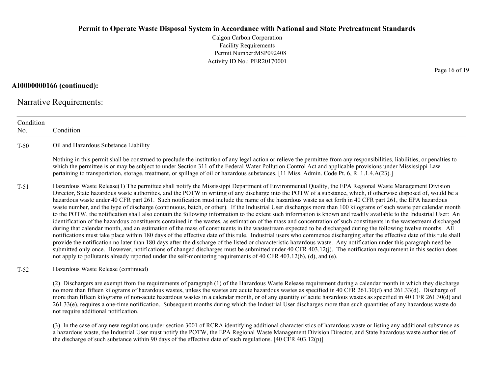Calgon Carbon Corporation Facility Requirements Permit Number:MSP092408Activity ID No.: PER20170001

**AI0000000166 (continued):**

Narrative Requirements:

ConditionNo. ConditionT-50 Oil and Hazardous Substance Liability Nothing in this permit shall be construed to preclude the institution of any legal action or relieve the permittee from any responsibilities, liabilities, or penalties to which the permittee is or may be subject to under Section 311 of the Federal Water Pollution Control Act and applicable provisions under Mississippi Law pertaining to transportation, storage, treatment, or spillage of oil or hazardous substances. [11 Miss. Admin. Code Pt. 6, R. 1.1.4.A(23).] T-51 Hazardous Waste Release(1) The permittee shall notify the Mississippi Department of Environmental Quality, the EPA Regional Waste Management Division Director, State hazardous waste authorities, and the POTW in writing of any discharge into the POTW of a substance, which, if otherwise disposed of, would be a hazardous waste under 40 CFR part 261. Such notification must include the name of the hazardous waste as set forth in 40 CFR part 261, the EPA hazardous waste number, and the type of discharge (continuous, batch, or other). If the Industrial User discharges more than 100 kilograms of such waste per calendar month to the POTW, the notification shall also contain the following information to the extent such information is known and readily available to the Industrial User: An identification of the hazardous constituents contained in the wastes, as estimation of the mass and concentration of such constituents in the wastestream discharged during that calendar month, and an estimation of the mass of constituents in the wastestream expected to be discharged during the following twelve months. All notifications must take place within 180 days of the effective date of this rule. Industrial users who commence discharging after the effective date of this rule shall provide the notification no later than 180 days after the discharge of the listed or characteristic hazardous waste. Any notification under this paragraph need be submitted only once. However, notifications of changed discharges must be submitted under 40 CFR 403.12(j). The notification requirement in this section does not apply to pollutants already reported under the self-monitoring requirements of 40 CFR 403.12(b), (d), and (e). T-52 Hazardous Waste Release (continued) (2) Dischargers are exempt from the requirements of paragraph (1) of the Hazardous Waste Release requirement during a calendar month in which they discharge no more than fifteen kilograms of hazardous wastes, unless the wastes are acute hazardous wastes as specified in 40 CFR 261.30(d) and 261.33(d). Discharge of

more than fifteen kilograms of non-acute hazardous wastes in a calendar month, or of any quantity of acute hazardous wastes as specified in 40 CFR 261.30(d) and 261.33(e), requires a one-time notification. Subsequent months during which the Industrial User discharges more than such quantities of any hazardous waste do not require additional notification.

(3) In the case of any new regulations under section 3001 of RCRA identifying additional characteristics of hazardous waste or listing any additional substance as a hazardous waste, the Industrial User must notify the POTW, the EPA Regional Waste Management Division Director, and State hazardous waste authorities of the discharge of such substance within 90 days of the effective date of such regulations. [40 CFR 403.12(p)]

Page 16 of 19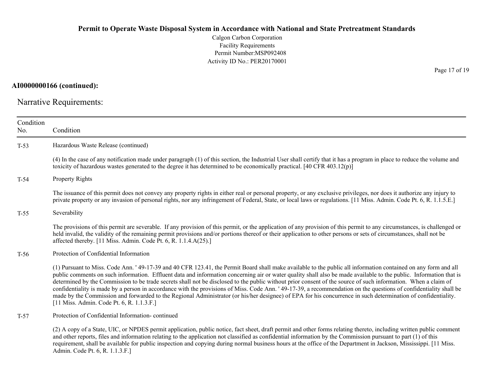Calgon Carbon Corporation Facility Requirements Permit Number:MSP092408 Activity ID No.: PER20170001

**AI0000000166 (continued):**

Narrative Requirements:

| Condition<br>No.       | Condition                                                                                                                                                                                                                                                                                                                                                                                                                                                                                                                                                                                                                                                                                                                                                                                                                                                                                 |  |  |  |  |
|------------------------|-------------------------------------------------------------------------------------------------------------------------------------------------------------------------------------------------------------------------------------------------------------------------------------------------------------------------------------------------------------------------------------------------------------------------------------------------------------------------------------------------------------------------------------------------------------------------------------------------------------------------------------------------------------------------------------------------------------------------------------------------------------------------------------------------------------------------------------------------------------------------------------------|--|--|--|--|
| $T-53$                 | Hazardous Waste Release (continued)                                                                                                                                                                                                                                                                                                                                                                                                                                                                                                                                                                                                                                                                                                                                                                                                                                                       |  |  |  |  |
|                        | (4) In the case of any notification made under paragraph (1) of this section, the Industrial User shall certify that it has a program in place to reduce the volume and<br>toxicity of hazardous wastes generated to the degree it has determined to be economically practical. [40 CFR 403.12(p)]                                                                                                                                                                                                                                                                                                                                                                                                                                                                                                                                                                                        |  |  |  |  |
| $T-54$                 | <b>Property Rights</b>                                                                                                                                                                                                                                                                                                                                                                                                                                                                                                                                                                                                                                                                                                                                                                                                                                                                    |  |  |  |  |
|                        | The issuance of this permit does not convey any property rights in either real or personal property, or any exclusive privileges, nor does it authorize any injury to<br>private property or any invasion of personal rights, nor any infringement of Federal, State, or local laws or regulations. [11 Miss. Admin. Code Pt. 6, R. 1.1.5.E.]                                                                                                                                                                                                                                                                                                                                                                                                                                                                                                                                             |  |  |  |  |
| Severability<br>$T-55$ |                                                                                                                                                                                                                                                                                                                                                                                                                                                                                                                                                                                                                                                                                                                                                                                                                                                                                           |  |  |  |  |
|                        | The provisions of this permit are severable. If any provision of this permit, or the application of any provision of this permit to any circumstances, is challenged or<br>held invalid, the validity of the remaining permit provisions and/or portions thereof or their application to other persons or sets of circumstances, shall not be<br>affected thereby. [11 Miss. Admin. Code Pt. 6, R. 1.1.4.A(25).]                                                                                                                                                                                                                                                                                                                                                                                                                                                                          |  |  |  |  |
| $T-56$                 | Protection of Confidential Information                                                                                                                                                                                                                                                                                                                                                                                                                                                                                                                                                                                                                                                                                                                                                                                                                                                    |  |  |  |  |
|                        | (1) Pursuant to Miss. Code Ann. '49-17-39 and 40 CFR 123.41, the Permit Board shall make available to the public all information contained on any form and all<br>public comments on such information. Effluent data and information concerning air or water quality shall also be made available to the public. Information that is<br>determined by the Commission to be trade secrets shall not be disclosed to the public without prior consent of the source of such information. When a claim of<br>confidentiality is made by a person in accordance with the provisions of Miss. Code Ann. '49-17-39, a recommendation on the questions of confidentiality shall be<br>made by the Commission and forwarded to the Regional Administrator (or his/her designee) of EPA for his concurrence in such determination of confidentiality.<br>[11 Miss. Admin. Code Pt. 6, R. 1.1.3.F.] |  |  |  |  |
| $T-57$                 | Protection of Confidential Information-continued                                                                                                                                                                                                                                                                                                                                                                                                                                                                                                                                                                                                                                                                                                                                                                                                                                          |  |  |  |  |
|                        | (2) A copy of a State, UIC, or NPDES permit application, public notice, fact sheet, draft permit and other forms relating thereto, including written public comment<br>and other reports, files and information relating to the application not classified as confidential information by the Commission pursuant to part (1) of this<br>requirement, shall be available for public inspection and copying during normal business hours at the office of the Department in Jackson, Mississippi. [11 Miss.]                                                                                                                                                                                                                                                                                                                                                                               |  |  |  |  |

Admin. Code Pt. 6, R. 1.1.3.F.]

Page 17 of 19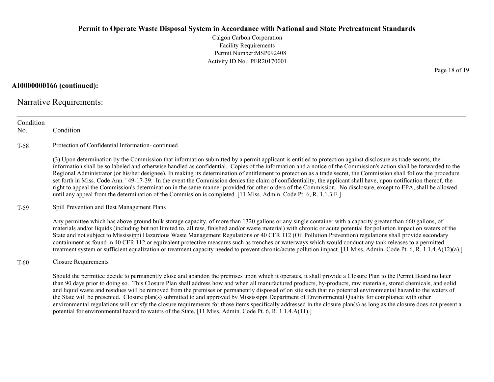Calgon Carbon Corporation Facility Requirements Permit Number:MSP092408 Activity ID No.: PER20170001

**AI0000000166 (continued):**

Narrative Requirements:

| Condition<br>No. | Condition                                                                                                                                                                                                                                                                                                                                                                                                                                                                                                                                                                                                                                                                                                                                                                                                                                                                                                                                                            |  |  |  |
|------------------|----------------------------------------------------------------------------------------------------------------------------------------------------------------------------------------------------------------------------------------------------------------------------------------------------------------------------------------------------------------------------------------------------------------------------------------------------------------------------------------------------------------------------------------------------------------------------------------------------------------------------------------------------------------------------------------------------------------------------------------------------------------------------------------------------------------------------------------------------------------------------------------------------------------------------------------------------------------------|--|--|--|
| $T-58$           | Protection of Confidential Information-continued                                                                                                                                                                                                                                                                                                                                                                                                                                                                                                                                                                                                                                                                                                                                                                                                                                                                                                                     |  |  |  |
|                  | (3) Upon determination by the Commission that information submitted by a permit applicant is entitled to protection against disclosure as trade secrets, the<br>information shall be so labeled and otherwise handled as confidential. Copies of the information and a notice of the Commission's action shall be forwarded to the<br>Regional Administrator (or his/her designee). In making its determination of entitlement to protection as a trade secret, the Commission shall follow the procedure<br>set forth in Miss. Code Ann. '49-17-39. In the event the Commission denies the claim of confidentiality, the applicant shall have, upon notification thereof, the<br>right to appeal the Commission's determination in the same manner provided for other orders of the Commission. No disclosure, except to EPA, shall be allowed<br>until any appeal from the determination of the Commission is completed. [11 Miss. Admin. Code Pt. 6, R. 1.1.3.F.] |  |  |  |
| T-59             | Spill Prevention and Best Management Plans                                                                                                                                                                                                                                                                                                                                                                                                                                                                                                                                                                                                                                                                                                                                                                                                                                                                                                                           |  |  |  |
|                  | Any permittee which has above ground bulk storage capacity, of more than 1320 gallons or any single container with a capacity greater than 660 gallons, of<br>materials and/or liquids (including but not limited to, all raw, finished and/or waste material) with chronic or acute potential for pollution impact on waters of the<br>State and not subject to Mississippi Hazardous Waste Management Regulations or 40 CFR 112 (Oil Pollution Prevention) regulations shall provide secondary<br>containment as found in 40 CFR 112 or equivalent protective measures such as trenches or waterways which would conduct any tank releases to a permitted<br>treatment system or sufficient equalization or treatment capacity needed to prevent chronic/acute pollution impact. [11 Miss. Admin. Code Pt. 6, R. 1.1.4.A(12)(a).]                                                                                                                                  |  |  |  |
| T-60             | <b>Closure Requirements</b>                                                                                                                                                                                                                                                                                                                                                                                                                                                                                                                                                                                                                                                                                                                                                                                                                                                                                                                                          |  |  |  |
|                  | Should the permittee decide to permanently close and abandon the premises upon which it operates, it shall provide a Closure Plan to the Permit Board no later<br>than 90 days prior to doing so. This Closure Plan shall address how and when all manufactured products, by-products, raw materials, stored chemicals, and solid<br>and liquid waste and residues will be removed from the premises or permanently disposed of on site such that no potential environmental hazard to the waters of<br>the State will be presented. Closure plan(s) submitted to and approved by Mississippi Department of Environmental Quality for compliance with other<br>environmental regulations will satisfy the closure requirements for those items specifically addressed in the closure plan(s) as long as the closure does not present a<br>potential for environmental hazard to waters of the State. [11 Miss. Admin. Code Pt. 6, R. 1.1.4.A(11).]                   |  |  |  |

Page 18 of 19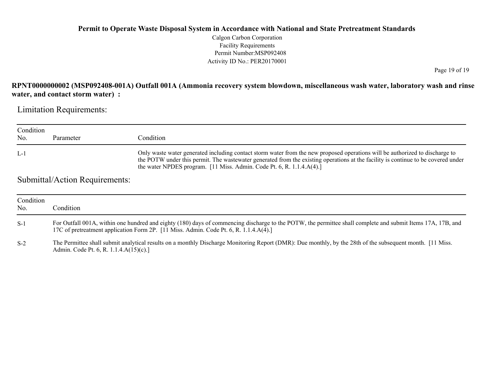Calgon Carbon Corporation Facility Requirements Permit Number:MSP092408 Activity ID No.: PER20170001

Page 19 of 19

## **RPNT0000000002 (MSP092408-001A) Outfall 001A (Ammonia recovery system blowdown, miscellaneous wash water, laboratory wash and rinse water, and contact storm water) :**

Limitation Requirements:

| Condition<br>No. | Parameter                                                                                                                                                                                                                                                                                             | Condition                                                                                                                                                                                                                                                                                                                                                  |
|------------------|-------------------------------------------------------------------------------------------------------------------------------------------------------------------------------------------------------------------------------------------------------------------------------------------------------|------------------------------------------------------------------------------------------------------------------------------------------------------------------------------------------------------------------------------------------------------------------------------------------------------------------------------------------------------------|
| - L-1            |                                                                                                                                                                                                                                                                                                       | Only waste water generated including contact storm water from the new proposed operations will be authorized to discharge to<br>the POTW under this permit. The wastewater generated from the existing operations at the facility is continue to be covered under<br>the water NPDES program. $[11 \text{ Miss. } Admin$ . Code Pt. 6, R. 1.1.4. $A(4)$ .] |
|                  | $\begin{array}{ccc} \n\begin{array}{ccc} \n\end{array} & \n\begin{array}{ccc} \n\end{array} & \n\begin{array}{ccc} \n\end{array} & \n\begin{array}{ccc} \n\end{array} & \n\begin{array}{ccc} \n\end{array} & \n\begin{array}{ccc} \n\end{array} & \n\begin{array}{ccc} \n\end{array} & \n\end{array}$ |                                                                                                                                                                                                                                                                                                                                                            |

### Submittal/Action Requirements:

| Condition<br>No. | Condition                                                                                                                                                                                                                                            |
|------------------|------------------------------------------------------------------------------------------------------------------------------------------------------------------------------------------------------------------------------------------------------|
| $S-1$            | For Outfall 001A, within one hundred and eighty (180) days of commencing discharge to the POTW, the permittee shall complete and submit Items 17A, 17B, and<br>17C of pretreatment application Form 2P. [11 Miss. Admin. Code Pt. 6, R. 1.1.4.A(4).] |
| $S-2$            | The Permittee shall submit analytical results on a monthly Discharge Monitoring Report (DMR): Due monthly, by the 28th of the subsequent month. [11 Miss.<br>Admin. Code Pt. 6, R. 1.1.4.A(15)(c).]                                                  |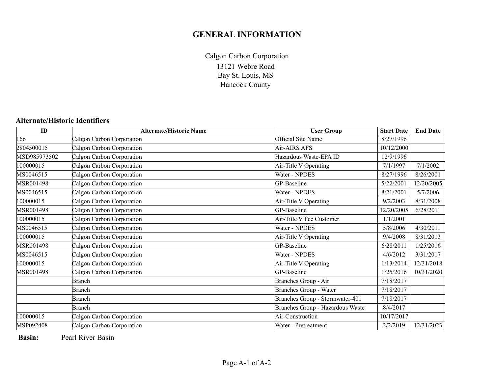# **GENERAL INFORMATION**

13121 Webre Road Bay St. Louis, MS Hancock County Calgon Carbon Corporation

#### **Alternate/Historic Identifiers**

| ID           | <b>Alternate/Historic Name</b> | <b>User Group</b>                | <b>Start Date</b> | <b>End Date</b> |
|--------------|--------------------------------|----------------------------------|-------------------|-----------------|
| 166          | Calgon Carbon Corporation      | Official Site Name               | 8/27/1996         |                 |
| 2804500015   | Calgon Carbon Corporation      | Air-AIRS AFS                     | 10/12/2000        |                 |
| MSD985973502 | Calgon Carbon Corporation      | Hazardous Waste-EPA ID           | 12/9/1996         |                 |
| 100000015    | Calgon Carbon Corporation      | Air-Title V Operating            | 7/1/1997          | 7/1/2002        |
| MS0046515    | Calgon Carbon Corporation      | Water - NPDES                    | 8/27/1996         | 8/26/2001       |
| MSR001498    | Calgon Carbon Corporation      | GP-Baseline                      | 5/22/2001         | 12/20/2005      |
| MS0046515    | Calgon Carbon Corporation      | Water - NPDES                    | 8/21/2001         | 5/7/2006        |
| 100000015    | Calgon Carbon Corporation      | Air-Title V Operating            | 9/2/2003          | 8/31/2008       |
| MSR001498    | Calgon Carbon Corporation      | GP-Baseline                      | 12/20/2005        | 6/28/2011       |
| 100000015    | Calgon Carbon Corporation      | Air-Title V Fee Customer         | 1/1/2001          |                 |
| MS0046515    | Calgon Carbon Corporation      | Water - NPDES                    | 5/8/2006          | 4/30/2011       |
| 100000015    | Calgon Carbon Corporation      | Air-Title V Operating            | 9/4/2008          | 8/31/2013       |
| MSR001498    | Calgon Carbon Corporation      | GP-Baseline                      | 6/28/2011         | 1/25/2016       |
| MS0046515    | Calgon Carbon Corporation      | Water - NPDES                    | 4/6/2012          | 3/31/2017       |
| 100000015    | Calgon Carbon Corporation      | Air-Title V Operating            | 1/13/2014         | 12/31/2018      |
| MSR001498    | Calgon Carbon Corporation      | GP-Baseline                      | 1/25/2016         | 10/31/2020      |
|              | Branch                         | Branches Group - Air             | 7/18/2017         |                 |
|              | Branch                         | Branches Group - Water           | 7/18/2017         |                 |
|              | <b>Branch</b>                  | Branches Group - Stormwater-401  | 7/18/2017         |                 |
|              | Branch                         | Branches Group - Hazardous Waste | 8/4/2017          |                 |
| 100000015    | Calgon Carbon Corporation      | Air-Construction                 | 10/17/2017        |                 |
| MSP092408    | Calgon Carbon Corporation      | Water - Pretreatment             | 2/2/2019          | 12/31/2023      |

**Basin:**Pearl River Basin